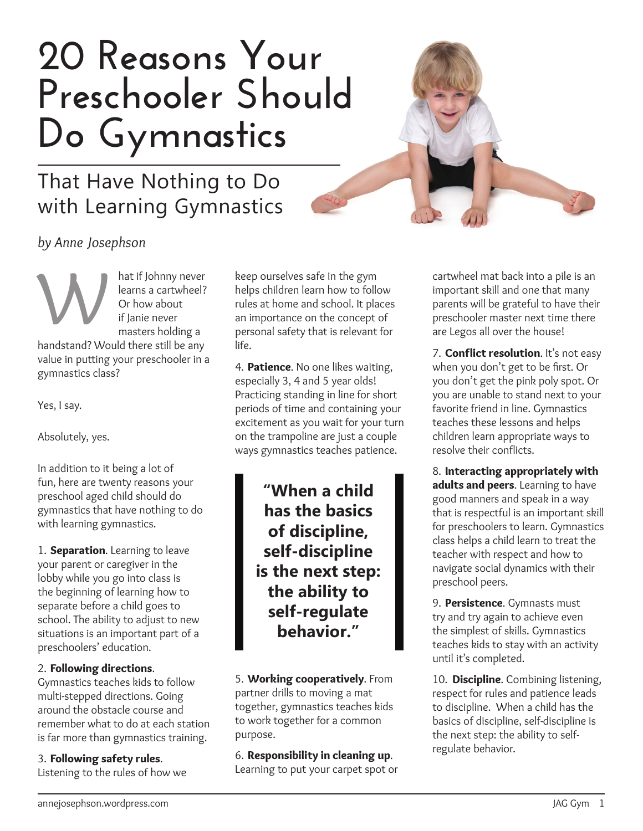# **20 Reasons Your Preschooler Should Do Gymnastics**

# That Have Nothing to Do with Learning Gymnastics



*by Anne Josephson*

hat if Johnny never learns a cartwheel? Or how about if Janie never masters holding a handstand? Would there still be any value in putting your preschooler in a gymnastics class? W

Yes, I say.

Absolutely, yes.

In addition to it being a lot of fun, here are twenty reasons your preschool aged child should do gymnastics that have nothing to do with learning gymnastics.

1. Separation. Learning to leave your parent or caregiver in the lobby while you go into class is the beginning of learning how to separate before a child goes to school. The ability to adjust to new situations is an important part of a preschoolers' education.

## 2. Following directions.

Gymnastics teaches kids to follow multi-stepped directions. Going around the obstacle course and remember what to do at each station is far more than gymnastics training.

### 3. Following safety rules.

Listening to the rules of how we

keep ourselves safe in the gym helps children learn how to follow rules at home and school. It places an importance on the concept of personal safety that is relevant for life.

4. Patience. No one likes waiting, especially 3, 4 and 5 year olds! Practicing standing in line for short periods of time and containing your excitement as you wait for your turn on the trampoline are just a couple ways gymnastics teaches patience.

> **"When a child has the basics of discipline, self-discipline is the next step: the ability to self-regulate behavior."**

5. Working cooperatively. From partner drills to moving a mat together, gymnastics teaches kids to work together for a common purpose.

6. Responsibility in cleaning up. Learning to put your carpet spot or cartwheel mat back into a pile is an important skill and one that many parents will be grateful to have their preschooler master next time there are Legos all over the house!

7. Conflict resolution. It's not easy when you don't get to be first. Or you don't get the pink poly spot. Or you are unable to stand next to your favorite friend in line. Gymnastics teaches these lessons and helps children learn appropriate ways to resolve their conflicts.

8. Interacting appropriately with adults and peers. Learning to have good manners and speak in a way that is respectful is an important skill for preschoolers to learn. Gymnastics class helps a child learn to treat the teacher with respect and how to navigate social dynamics with their preschool peers.

9. Persistence. Gymnasts must try and try again to achieve even the simplest of skills. Gymnastics teaches kids to stay with an activity until it's completed.

10. **Discipline**. Combining listening, respect for rules and patience leads to discipline. When a child has the basics of discipline, self-discipline is the next step: the ability to selfregulate behavior.